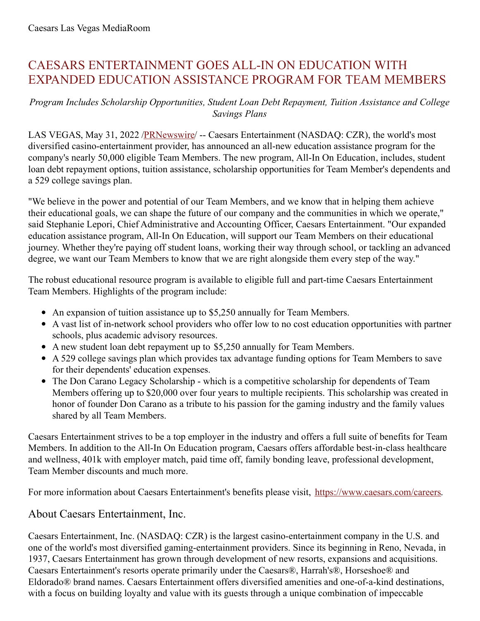## CAESARS ENTERTAINMENT GOES ALL-IN ON EDUCATION WITH EXPANDED EDUCATION ASSISTANCE PROGRAM FOR TEAM MEMBERS

## *Program Includes Scholarship Opportunities, Student Loan Debt Repayment, Tuition Assistance and College Savings Plans*

LAS VEGAS, May 31, 2022 [/PRNewswire](http://www.prnewswire.com/)/ -- Caesars Entertainment (NASDAQ: CZR), the world's most diversified casino-entertainment provider, has announced an all-new education assistance program for the company's nearly 50,000 eligible Team Members. The new program, All-In On Education, includes, student loan debt repayment options, tuition assistance, scholarship opportunities for Team Member's dependents and a 529 college savings plan.

"We believe in the power and potential of our Team Members, and we know that in helping them achieve their educational goals, we can shape the future of our company and the communities in which we operate," said Stephanie Lepori, Chief Administrative and Accounting Officer, Caesars Entertainment. "Our expanded education assistance program, All-In On Education, will support our Team Members on their educational journey. Whether they're paying off student loans, working their way through school, or tackling an advanced degree, we want our Team Members to know that we are right alongside them every step of the way."

The robust educational resource program is available to eligible full and part-time Caesars Entertainment Team Members. Highlights of the program include:

- An expansion of tuition assistance up to \$5,250 annually for Team Members.
- A vast list of in-network school providers who offer low to no cost education opportunities with partner schools, plus academic advisory resources.
- A new student loan debt repayment up to \$5,250 annually for Team Members.
- A 529 college savings plan which provides tax advantage funding options for Team Members to save for their dependents' education expenses.
- The Don Carano Legacy Scholarship which is a competitive scholarship for dependents of Team Members offering up to \$20,000 over four years to multiple recipients. This scholarship was created in honor of founder Don Carano as a tribute to his passion for the gaming industry and the family values shared by all Team Members.

Caesars Entertainment strives to be a top employer in the industry and offers a full suite of benefits for Team Members. In addition to the All-In On Education program, Caesars offers affordable best-in-class healthcare and wellness, 401k with employer match, paid time off, family bonding leave, professional development, Team Member discounts and much more.

For more information about Caesars Entertainment's benefits please visit, [https://www.caesars.com/careers](https://c212.net/c/link/?t=0&l=en&o=3550782-1&h=3640729382&u=https%3A%2F%2Fwww.caesars.com%2Fcareers&a=https%3A%2F%2Fwww.caesars.com%2Fcareers).

## About Caesars Entertainment, Inc.

Caesars Entertainment, Inc. (NASDAQ: CZR) is the largest casino-entertainment company in the U.S. and one of the world's most diversified gaming-entertainment providers. Since its beginning in Reno, Nevada, in 1937, Caesars Entertainment has grown through development of new resorts, expansions and acquisitions. Caesars Entertainment's resorts operate primarily under the Caesars®, Harrah's®, Horseshoe® and Eldorado® brand names. Caesars Entertainment offers diversified amenities and one-of-a-kind destinations, with a focus on building loyalty and value with its guests through a unique combination of impeccable